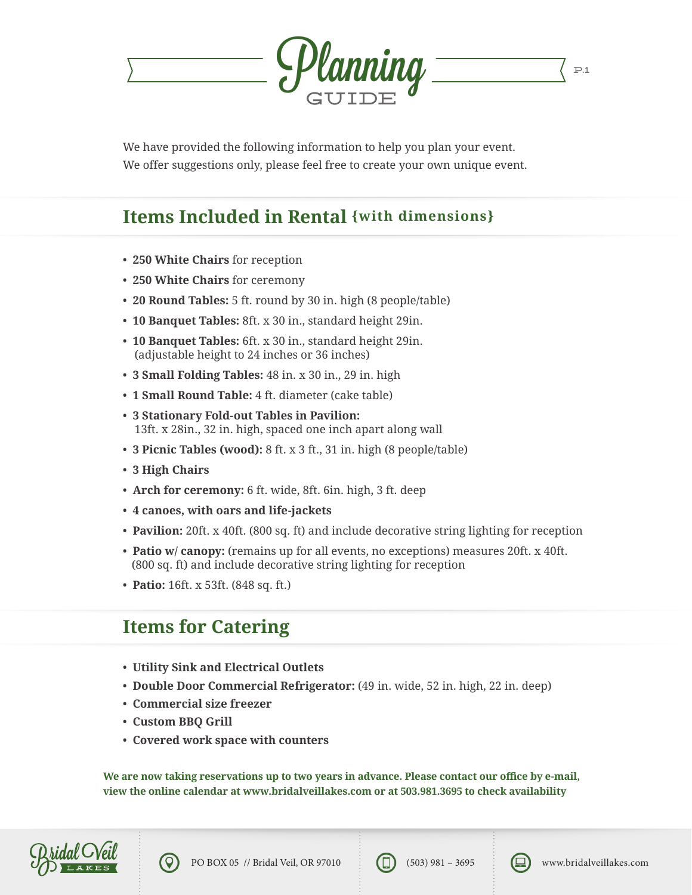

We have provided the following information to help you plan your event. We offer suggestions only, please feel free to create your own unique event.

### **Items Included in Rental {with dimensions}**

- **250 White Chairs** for reception
- **250 White Chairs** for ceremony
- **20 Round Tables:** 5 ft. round by 30 in. high (8 people/table)
- **10 Banquet Tables:** 8ft. x 30 in., standard height 29in.
- **10 Banquet Tables:** 6ft. x 30 in., standard height 29in. (adjustable height to 24 inches or 36 inches)
- **3 Small Folding Tables:** 48 in. x 30 in., 29 in. high
- **1 Small Round Table:** 4 ft. diameter (cake table)
- **3 Stationary Fold-out Tables in Pavilion:** 13ft. x 28in., 32 in. high, spaced one inch apart along wall
- **3 Picnic Tables (wood):** 8 ft. x 3 ft., 31 in. high (8 people/table)
- **3 High Chairs**
- **Arch for ceremony:** 6 ft. wide, 8ft. 6in. high, 3 ft. deep
- **4 canoes, with oars and life-jackets**
- **Pavilion:** 20ft. x 40ft. (800 sq. ft) and include decorative string lighting for reception
- **Patio w/ canopy:** (remains up for all events, no exceptions) measures 20ft. x 40ft. (800 sq. ft) and include decorative string lighting for reception
- **Patio:** 16ft. x 53ft. (848 sq. ft.)

#### **Items for Catering**

- **Utility Sink and Electrical Outlets**
- **Double Door Commercial Refrigerator:** (49 in. wide, 52 in. high, 22 in. deep)
- **Commercial size freezer**
- **Custom BBQ Grill**
- **Covered work space with counters**

**We are now taking reservations up to two years in advance. Please contact our office by e-mail, view the online calendar at www.bridalveillakes.com or at 503.981.3695 to check availability**